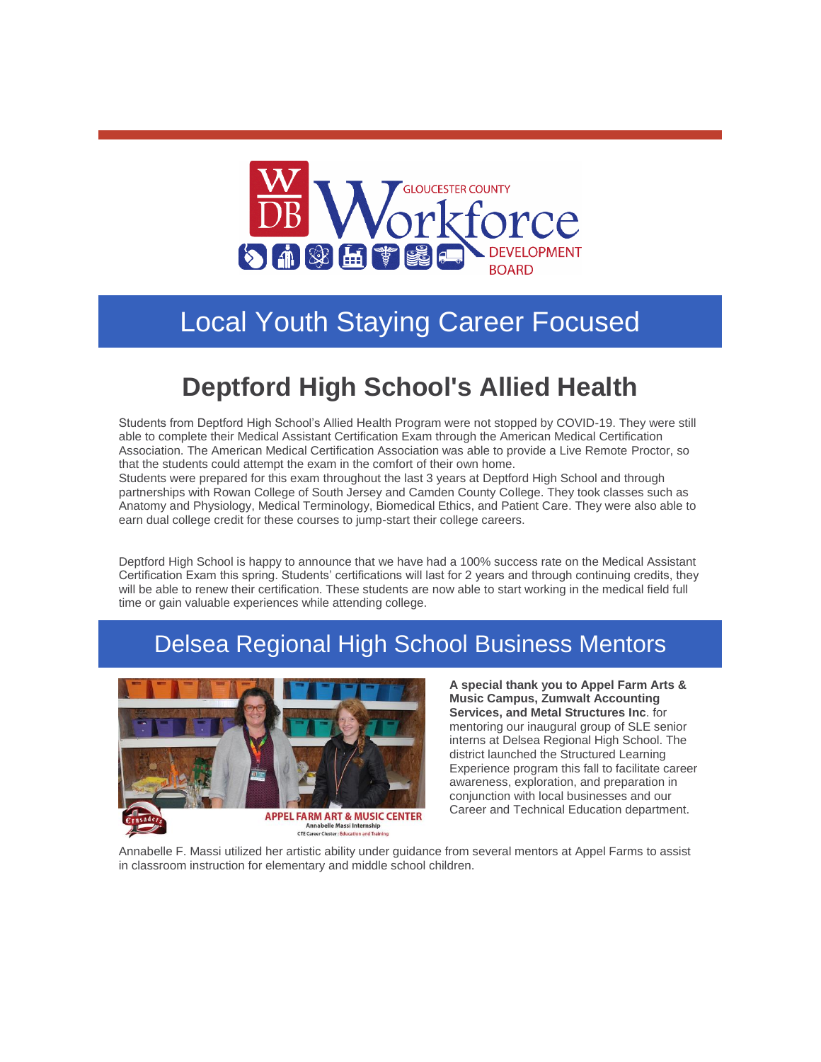

## Local Youth Staying Career Focused

## **Deptford High School's Allied Health**

Students from Deptford High School's Allied Health Program were not stopped by COVID-19. They were still able to complete their Medical Assistant Certification Exam through the American Medical Certification Association. The American Medical Certification Association was able to provide a Live Remote Proctor, so that the students could attempt the exam in the comfort of their own home.

Students were prepared for this exam throughout the last 3 years at Deptford High School and through partnerships with Rowan College of South Jersey and Camden County College. They took classes such as Anatomy and Physiology, Medical Terminology, Biomedical Ethics, and Patient Care. They were also able to earn dual college credit for these courses to jump-start their college careers.

Deptford High School is happy to announce that we have had a 100% success rate on the Medical Assistant Certification Exam this spring. Students' certifications will last for 2 years and through continuing credits, they will be able to renew their certification. These students are now able to start working in the medical field full time or gain valuable experiences while attending college.

## Delsea Regional High School Business Mentors



**A special thank you to Appel Farm Arts & Music Campus, Zumwalt Accounting Services, and Metal Structures Inc**. for mentoring our inaugural group of SLE senior interns at Delsea Regional High School. The district launched the Structured Learning Experience program this fall to facilitate career awareness, exploration, and preparation in conjunction with local businesses and our Career and Technical Education department.

Annabelle F. Massi utilized her artistic ability under guidance from several mentors at Appel Farms to assist in classroom instruction for elementary and middle school children.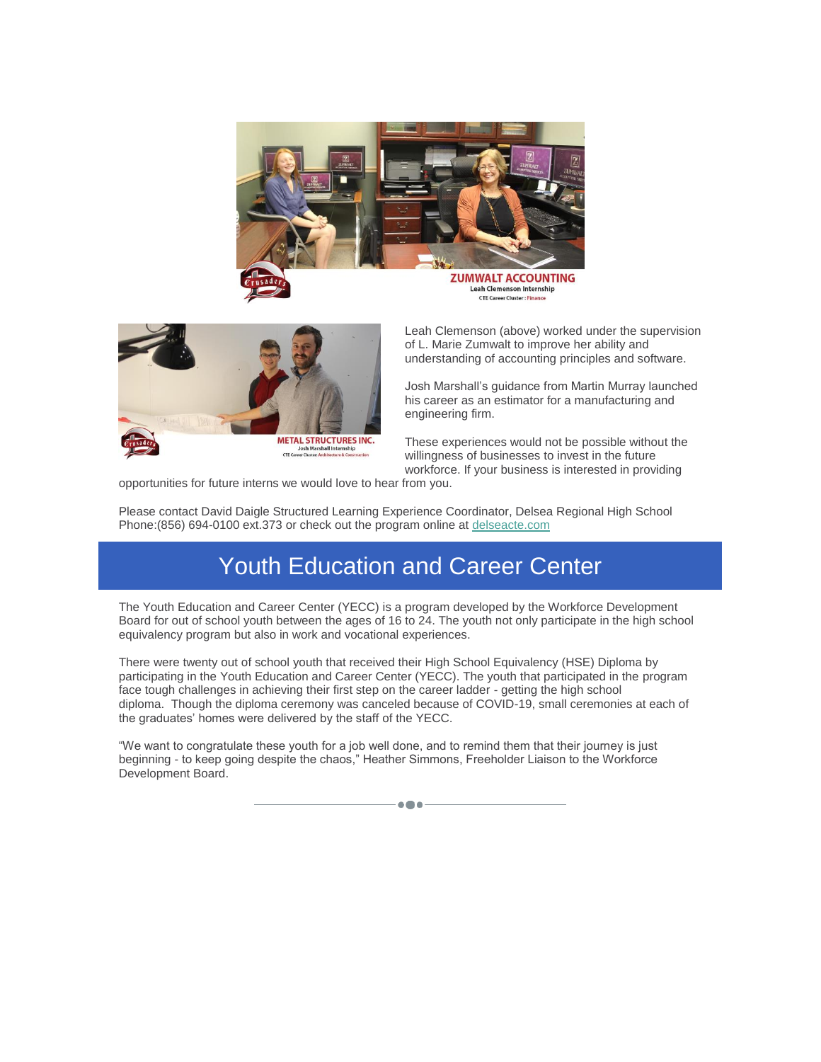



Leah Clemenson (above) worked under the supervision of L. Marie Zumwalt to improve her ability and understanding of accounting principles and software.

Josh Marshall's guidance from Martin Murray launched his career as an estimator for a manufacturing and engineering firm.

These experiences would not be possible without the willingness of businesses to invest in the future workforce. If your business is interested in providing

opportunities for future interns we would love to hear from you.

Please contact David Daigle Structured Learning Experience Coordinator, Delsea Regional High School Phone:(856) 694-0100 ext.373 or check out the program online at [delseacte.com](http://r20.rs6.net/tn.jsp?f=0017Uclc7DrZoT3emaNZKb34RKM_vsVR1riPXk2YP2p_8ihuM1dlfAIhRbI--D83Mi9Z6zO-m-ERBIP-vop4ngt42qIEXMVkijswW2p3dRC6Y0O92jVoYwnwhOuH8--pG0ahpWV0P6GLfKS2dMy-EjpdA==&c=RO1Zm0MDIhrN6xFqN2p6LCPFRbX3fiujNxh8uhizkEaY5HGN1bn-zw==&ch=EukWNLDMESc9c_G8T7S_UhUVbP7tAIsCuBbWe2QFAs2E-sYplgE8dA==)

## Youth Education and Career Center

The Youth Education and Career Center (YECC) is a program developed by the Workforce Development Board for out of school youth between the ages of 16 to 24. The youth not only participate in the high school equivalency program but also in work and vocational experiences.

There were twenty out of school youth that received their High School Equivalency (HSE) Diploma by participating in the Youth Education and Career Center (YECC). The youth that participated in the program face tough challenges in achieving their first step on the career ladder - getting the high school diploma. Though the diploma ceremony was canceled because of COVID-19, small ceremonies at each of the graduates' homes were delivered by the staff of the YECC.

"We want to congratulate these youth for a job well done, and to remind them that their journey is just beginning - to keep going despite the chaos," Heather Simmons, Freeholder Liaison to the Workforce Development Board.

 $\bullet\bullet\bullet$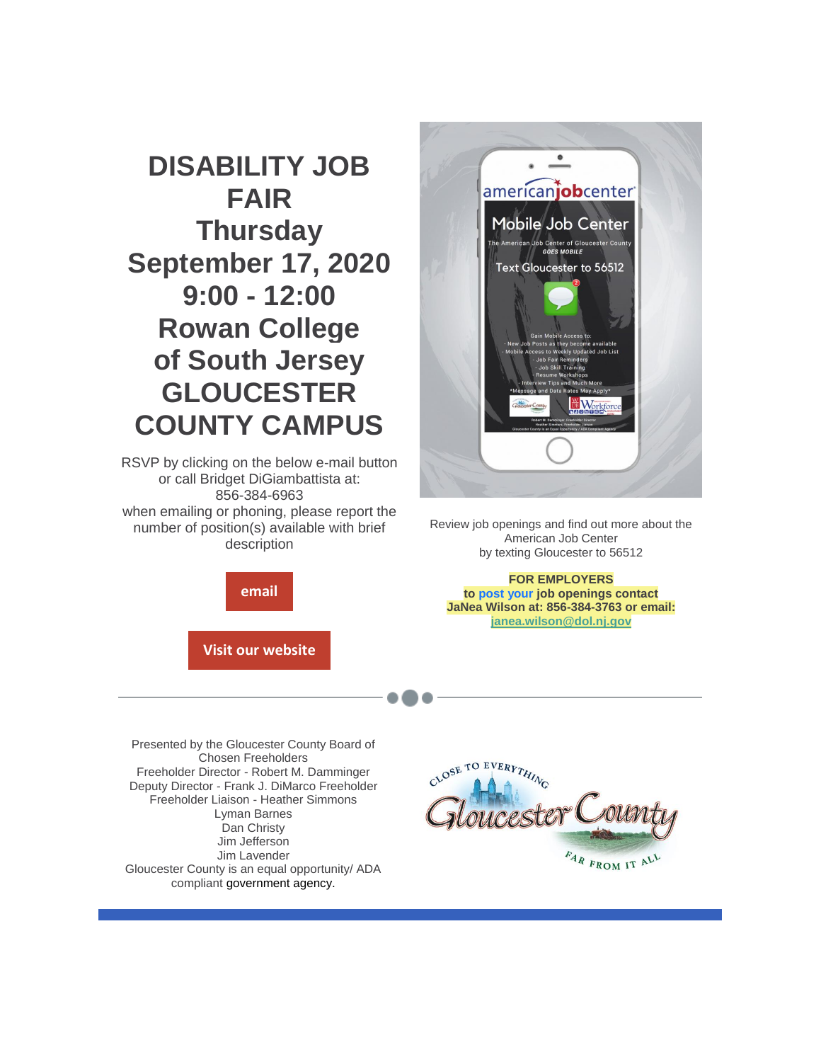

Review job openings and find out more about the American Job Center by texting Gloucester to 56512

**FOR EMPLOYERS to post your job openings contact JaNea Wilson at: 856-384-3763 or email: [janea.wilson@dol.nj.gov](mailto:janea.wilson@dol.nj.gov)**

Presented by the Gloucester County Board of Chosen Freeholders Freeholder Director - Robert M. Damminger Deputy Director - Frank J. DiMarco Freeholder Freeholder Liaison - Heather Simmons Lyman Barnes Dan Christy Jim Jefferson Jim Lavender Gloucester County is an equal opportunity/ ADA compliant government agency.



**DISABILITY JOB FAIR Thursday September 17, 2020 9:00 - 12:00 Rowan College of South Jersey GLOUCESTER COUNTY CAMPUS**

RSVP by clicking on the below e-mail button or call Bridget DiGiambattista at: 856-384-6963 when emailing or phoning, please report the number of position(s) available with brief description